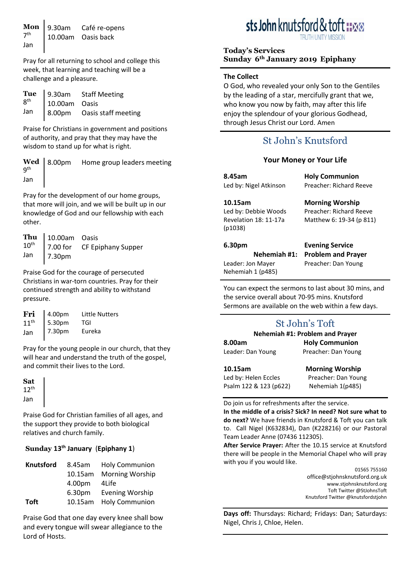**Mon** 9.30am  

$$
7^{\text{th}}
$$
 10.00am *Ca*fé re-opens  
Jan

Pray for all returning to school and college this week, that learning and teaching will be a challenge and a pleasure.

|     |               | <b>Tue</b> 9.30am Staff Meeting<br>$8^{\text{th}}$ 10.00am Oasis |
|-----|---------------|------------------------------------------------------------------|
|     | 10.00am Oasis |                                                                  |
| Jan |               | 8.00pm Oasis staff meeting                                       |

Praise for Christians in government and positions of authority, and pray that they may have the wisdom to stand up for what is right.

|     | <b>Wed</b> 8.00pm Home group leaders meeting $9^{th}$ |
|-----|-------------------------------------------------------|
| Jan |                                                       |

Pray for the development of our home groups, that more will join, and we will be built up in our knowledge of God and our fellowship with each other.

|            | <b>Thu</b> $\begin{bmatrix} 10.00 \text{am} & \text{Oasis} \\ 7.00 \text{ for} & \text{CF Epiphany Super} \end{bmatrix}$ |
|------------|--------------------------------------------------------------------------------------------------------------------------|
|            |                                                                                                                          |
| Jan 7.30pm |                                                                                                                          |

Praise God for the courage of persecuted Christians in war-torn countries. Pray for their continued strength and ability to withstand pressure.

| Fri              | 4.00pm | <b>Little Nutters</b> |
|------------------|--------|-----------------------|
| 11 <sup>th</sup> | 5.30pm | TGI                   |
| Jan              | 7.30pm | Eureka                |

Pray for the young people in our church, that they will hear and understand the truth of the gospel, and commit their lives to the Lord.

**Sat** 12th Jan

Praise God for Christian families of all ages, and the support they provide to both biological relatives and church family.

#### **Sunday 13th January** (**Epiphany 1**)

| <b>Knutsford</b> | 8.45am             | <b>Holy Communion</b>  |
|------------------|--------------------|------------------------|
|                  | 10.15am            | <b>Morning Worship</b> |
|                  | 4.00pm             | 4Life                  |
|                  | 6.30 <sub>pm</sub> | <b>Evening Worship</b> |
| <b>Toft</b>      | 10.15am            | <b>Holy Communion</b>  |

Praise God that one day every knee shall bow and every tongue will swear allegiance to the Lord of Hosts.

# sts John knutsford & to

#### **Today's Services Sunday 6th January 2019 Epiphany**

#### **The Collect**

O God, who revealed your only Son to the Gentiles by the leading of a star, mercifully grant that we, who know you now by faith, may after this life enjoy the splendour of your glorious Godhead, through Jesus Christ our Lord. Amen

# St John's Knutsford

#### **Your Money or Your Life**

**8.45am** Led by: Nigel Atkinson

**10.15am** Led by: Debbie Woods Revelation 18: 11-17a (p1038)

**Holy Communion**  Preacher: Richard Reeve

#### **Morning Worship** Preacher: Richard Reeve Matthew 6: 19-34 (p 811)

#### **6.30pm**

**Nehemiah #1:**  Leader: Jon Mayer Nehemiah 1 (p485)

**Evening Service Problem and Prayer** Preacher: Dan Young

You can expect the sermons to last about 30 mins, and the service overall about 70-95 mins. Knutsford Sermons are available on the web within a few days.

# St John's Toft

| Nehemiah #1: Problem and Prayer |                       |
|---------------------------------|-----------------------|
| 8.00am                          | <b>Holy Communion</b> |
| Leader: Dan Young               | Preacher: Dan Young   |

| 10.15am                | <b>Morning Worship</b> |
|------------------------|------------------------|
| Led by: Helen Eccles   | Preacher: Dan Young    |
| Psalm 122 & 123 (p622) | Nehemiah 1(p485)       |

Do join us for refreshments after the service. **In the middle of a crisis? Sick? In need? Not sure what to do next?** We have friends in Knutsford & Toft you can talk to. Call Nigel (K632834), Dan (K228216) or our Pastoral Team Leader Anne (07436 112305).

**After Service Prayer:** After the 10.15 service at Knutsford there will be people in the Memorial Chapel who will pray with you if you would like.

> 01565 755160 [office@stjohnsknutsford.org.uk](mailto:office@stjohnsknutsford.org.uk) [www.stjohnsknutsford.org](http://www.stjohnsknutsford.org/) Toft Twitter @StJohnsToft Knutsford Twitter @knutsfordstjohn

**Days off:** Thursdays: Richard; Fridays: Dan; Saturdays: Nigel, Chris J, Chloe, Helen.